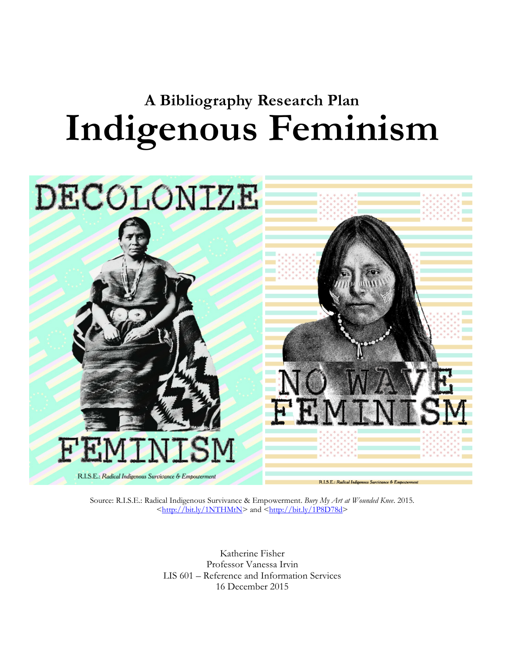# **A Bibliography Research Plan Indigenous Feminism**



Source: R.I.S.E.: Radical Indigenous Survivance & Empowerment. *Bury My Art at Wounded Knee*. 2015. [<http://bit.ly/1NTHMtN>](http://bit.ly/1NTHMtN) and [<http://bit.ly/1P8D78d>](http://bit.ly/1P8D78d)

> Katherine Fisher Professor Vanessa Irvin LIS 601 – Reference and Information Services 16 December 2015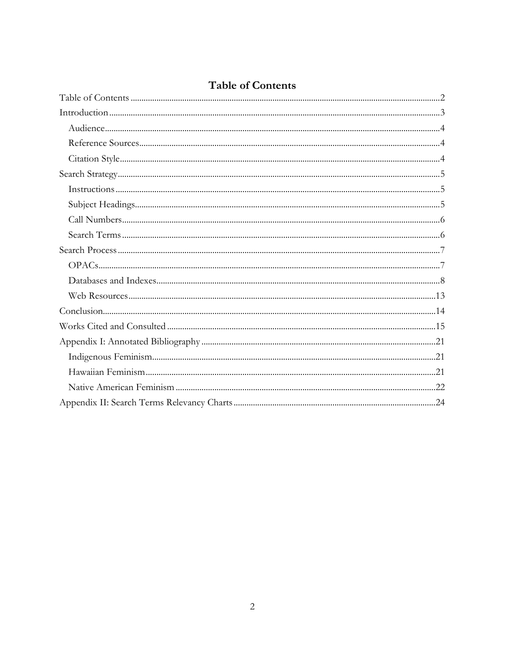| <b>Table of Contents</b> |
|--------------------------|
|                          |

<span id="page-1-0"></span>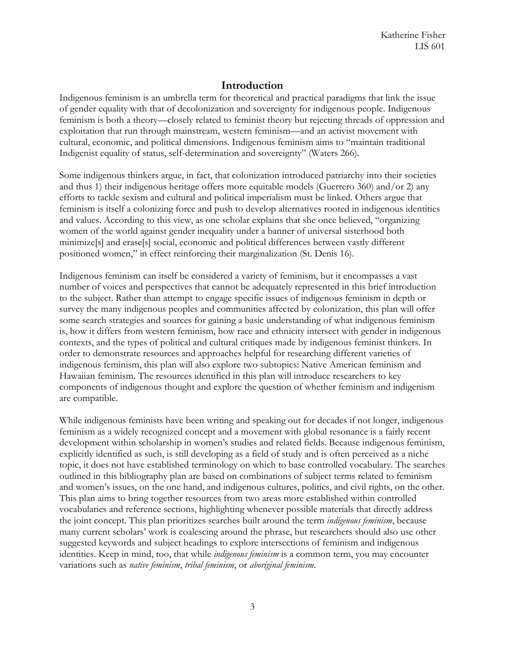#### **Introduction**

<span id="page-2-0"></span>Indigenous feminism is an umbrella term for theoretical and practical paradigms that link the issue of gender equality with that of decolonization and sovereignty for indigenous people. Indigenous feminism is both a theory—closely related to feminist theory but rejecting threads of oppression and exploitation that run through mainstream, western feminism—and an activist movement with cultural, economic, and political dimensions. Indigenous feminism aims to "maintain traditional Indigenist equality of status, self-determination and sovereignty" (Waters 266).

Some indigenous thinkers argue, in fact, that colonization introduced patriarchy into their societies and thus 1) their indigenous heritage offers more equitable models (Guerrero 360) and/or 2) any efforts to tackle sexism and cultural and political imperialism must be linked. Others argue that feminism is itself a colonizing force and push to develop alternatives rooted in indigenous identities and values. According to this view, as one scholar explains that she once believed, "organizing women of the world against gender inequality under a banner of universal sisterhood both minimize[s] and erase[s] social, economic and political differences between vastly different positioned women," in effect reinforcing their marginalization (St. Denis 16).

Indigenous feminism can itself be considered a variety of feminism, but it encompasses a vast number of voices and perspectives that cannot be adequately represented in this brief introduction to the subject. Rather than attempt to engage specific issues of indigenous feminism in depth or survey the many indigenous peoples and communities affected by colonization, this plan will offer some search strategies and sources for gaining a basic understanding of what indigenous feminism is, how it differs from western feminism, how race and ethnicity intersect with gender in indigenous contexts, and the types of political and cultural critiques made by indigenous feminist thinkers. In order to demonstrate resources and approaches helpful for researching different varieties of indigenous feminism, this plan will also explore two subtopics: Native American feminism and Hawaiian feminism. The resources identified in this plan will introduce researchers to key components of indigenous thought and explore the question of whether feminism and indigenism are compatible.

While indigenous feminists have been writing and speaking out for decades if not longer, indigenous feminism as a widely recognized concept and a movement with global resonance is a fairly recent development within scholarship in women's studies and related fields. Because indigenous feminism, explicitly identified as such, is still developing as a field of study and is often perceived as a niche topic, it does not have established terminology on which to base controlled vocabulary. The searches outlined in this bibliography plan are based on combinations of subject terms related to feminism and women's issues, on the one hand, and indigenous cultures, politics, and civil rights, on the other. This plan aims to bring together resources from two areas more established within controlled vocabularies and reference sections, highlighting whenever possible materials that directly address the joint concept. This plan prioritizes searches built around the term *indigenous feminism*, because many current scholars' work is coalescing around the phrase, but researchers should also use other suggested keywords and subject headings to explore intersections of feminism and indigenous identities. Keep in mind, too, that while *indigenous feminism* is a common term, you may encounter variations such as *native feminism*, *tribal feminism*, or *aboriginal feminism*.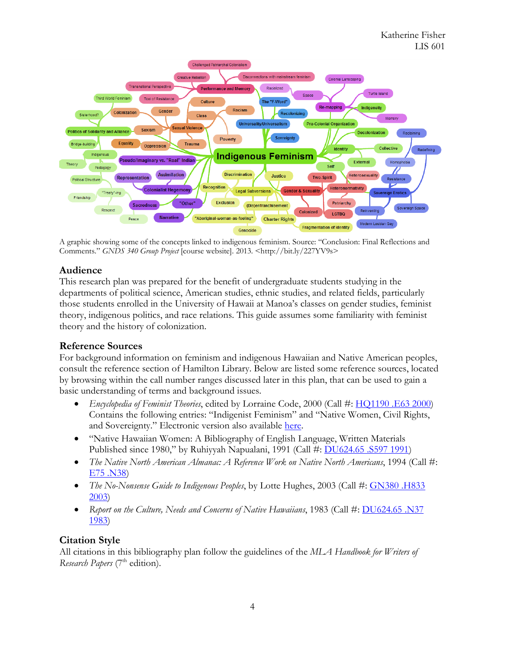

A graphic showing some of the concepts linked to indigenous feminism. Source: "Conclusion: Final Reflections and Comments." *GNDS 340 Group Project* [course website]. 2013. <http://bit.ly/227YV9s>

#### <span id="page-3-0"></span>**Audience**

This research plan was prepared for the benefit of undergraduate students studying in the departments of political science, American studies, ethnic studies, and related fields, particularly those students enrolled in the University of Hawaii at Manoa's classes on gender studies, feminist theory, indigenous politics, and race relations. This guide assumes some familiarity with feminist theory and the history of colonization.

#### <span id="page-3-1"></span>**Reference Sources**

For background information on feminism and indigenous Hawaiian and Native American peoples, consult the reference section of Hamilton Library. Below are listed some reference sources, located by browsing within the call number ranges discussed later in this plan, that can be used to gain a basic understanding of terms and background issues.

- *Encyclopedia of Feminist Theories*, edited by Lorraine Code, 2000 (Call #: [HQ1190 .E63 2000\)](https://uhmanoa.lib.hawaii.edu/vwebv/search?searchArg=%20HQ1190%20.E63%202000&searchCode=CALL+%2B&searchType=1) Contains the following entries: "Indigenist Feminism" and "Native Women, Civil Rights, and Sovereignty." Electronic version also available [here.](http://site.ebrary.com.eres.library.manoa.hawaii.edu/lib/uhmanoa/detail.action?docID=10070673)
- "Native Hawaiian Women: A Bibliography of English Language, Written Materials Published since 1980," by Ruhiyyah Napualani, 1991 (Call #: [DU624.65 .S597 1991\)](https://uhmanoa.lib.hawaii.edu/vwebv/search?searchArg=%20DU624.65%20.S597%201991&searchCode=CALL+%2B&searchType=1)
- *The Native North American Almanac: A Reference Work on Native North Americans*, 1994 (Call #: [E75 .N38\)](https://uhmanoa.lib.hawaii.edu/vwebv/search?searchArg=%20E75%20.N38&searchCode=CALL+%2B&searchType=1)
- *The No-Nonsense Guide to Indigenous Peoples*, by Lotte Hughes, 2003 (Call #: GN380 .H833 [2003\)](https://uhmanoa.lib.hawaii.edu/vwebv/search?searchArg=%20GN380%20.H833%202003&searchCode=CALL+%2B&searchType=1)
- *Report on the Culture, Needs and Concerns of Native Hawaiians*, 1983 (Call #: [DU624.65 .N37](https://uhmanoa.lib.hawaii.edu/vwebv/search?searchArg=%20DU624.65%20.N37%201983&searchCode=CALL+%2B&searchType=1)  [1983\)](https://uhmanoa.lib.hawaii.edu/vwebv/search?searchArg=%20DU624.65%20.N37%201983&searchCode=CALL+%2B&searchType=1)

## <span id="page-3-2"></span>**Citation Style**

All citations in this bibliography plan follow the guidelines of the *MLA Handbook for Writers of Research Papers* (7<sup>th</sup> edition).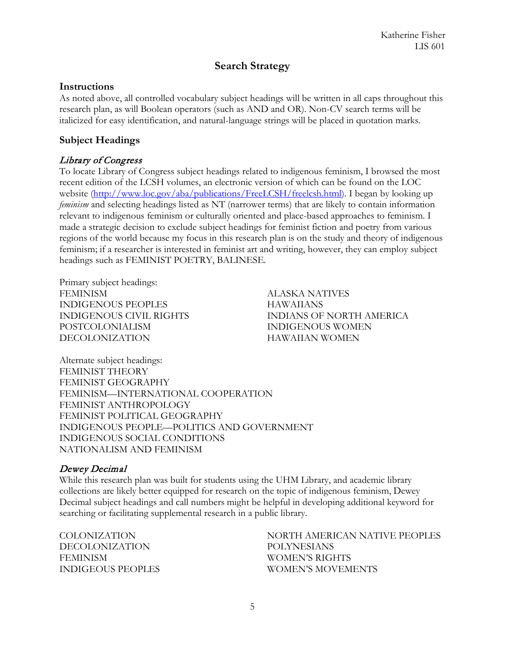## **Search Strategy**

#### <span id="page-4-1"></span><span id="page-4-0"></span>**Instructions**

As noted above, all controlled vocabulary subject headings will be written in all caps throughout this research plan, as will Boolean operators (such as AND and OR). Non-CV search terms will be italicized for easy identification, and natural-language strings will be placed in quotation marks.

#### <span id="page-4-2"></span>**Subject Headings**

#### Library of Congress

To locate Library of Congress subject headings related to indigenous feminism, I browsed the most recent edition of the LCSH volumes, an electronic version of which can be found on the LOC website [\(http://www.loc.gov/aba/publications/FreeLCSH/freelcsh.html\)](http://www.loc.gov/aba/publications/FreeLCSH/freelcsh.html). I began by looking up *feminism* and selecting headings listed as NT (narrower terms) that are likely to contain information relevant to indigenous feminism or culturally oriented and place-based approaches to feminism. I made a strategic decision to exclude subject headings for feminist fiction and poetry from various regions of the world because my focus in this research plan is on the study and theory of indigenous feminism; if a researcher is interested in feminist art and writing, however, they can employ subject headings such as FEMINIST POETRY, BALINESE*.*

Primary subject headings: FEMINISM INDIGENOUS PEOPLES INDIGENOUS CIVIL RIGHTS POSTCOLONIALISM DECOLONIZATION

ALASKA NATIVES HAWAIIANS INDIANS OF NORTH AMERICA INDIGENOUS WOMEN HAWAIIAN WOMEN

Alternate subject headings: FEMINIST THEORY FEMINIST GEOGRAPHY FEMINISM—INTERNATIONAL COOPERATION FEMINIST ANTHROPOLOGY FEMINIST POLITICAL GEOGRAPHY INDIGENOUS PEOPLE—POLITICS AND GOVERNMENT INDIGENOUS SOCIAL CONDITIONS NATIONALISM AND FEMINISM

#### Dewey Decimal

While this research plan was built for students using the UHM Library, and academic library collections are likely better equipped for research on the topic of indigenous feminism, Dewey Decimal subject headings and call numbers might be helpful in developing additional keyword for searching or facilitating supplemental research in a public library.

COLONIZATION DECOLONIZATION FEMINISM INDIGEOUS PEOPLES NORTH AMERICAN NATIVE PEOPLES POLYNESIANS WOMEN'S RIGHTS WOMEN'S MOVEMENTS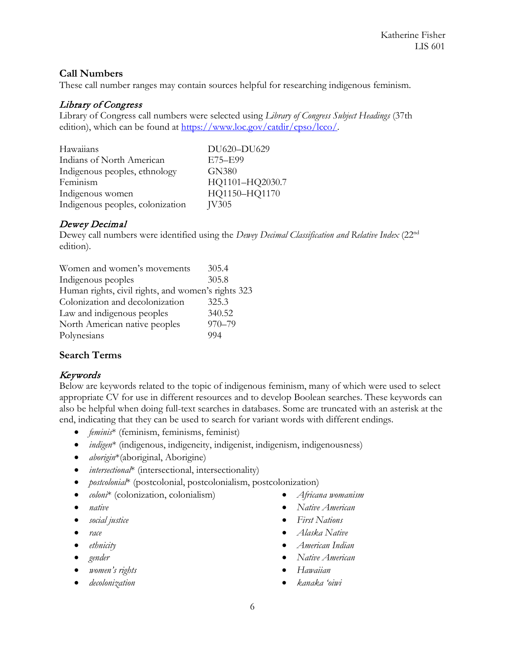#### <span id="page-5-0"></span>**Call Numbers**

These call number ranges may contain sources helpful for researching indigenous feminism.

#### Library of Congress

Library of Congress call numbers were selected using *Library of Congress Subject Headings* (37th edition), which can be found at [https://www.loc.gov/catdir/cpso/lcco/.](https://www.loc.gov/catdir/cpso/lcco/)

| Hawaiians                        | DU620-DU629     |
|----------------------------------|-----------------|
| Indians of North American        | E75-E99         |
| Indigenous peoples, ethnology    | GN380           |
| Feminism                         | HQ1101-HQ2030.7 |
| Indigenous women                 | HQ1150-HQ1170   |
| Indigenous peoples, colonization | IV305           |

## Dewey Decimal

Dewey call numbers were identified using the *Dewey Decimal Classification and Relative Index* (22nd edition).

| Women and women's movements                        | 305.4      |
|----------------------------------------------------|------------|
| Indigenous peoples                                 | 305.8      |
| Human rights, civil rights, and women's rights 323 |            |
| Colonization and decolonization                    | 325.3      |
| Law and indigenous peoples                         | 340.52     |
| North American native peoples                      | $970 - 79$ |
| Polynesians                                        | 994        |

#### <span id="page-5-1"></span>**Search Terms**

#### Keywords

Below are keywords related to the topic of indigenous feminism, many of which were used to select appropriate CV for use in different resources and to develop Boolean searches. These keywords can also be helpful when doing full-text searches in databases. Some are truncated with an asterisk at the end, indicating that they can be used to search for variant words with different endings.

- *feminis*\* (feminism, feminisms, feminist)
- *indigen*<sup>\*</sup> (indigenous, indigeneity, indigenist, indigenism, indigenousness)
- *aborigin*\*(aboriginal, Aborigine)
- *intersectional*\* (intersectional, intersectionality)
- *postcolonial*\* (postcolonial, postcolonialism, postcolonization)
- *coloni*\* (colonization, colonialism)
- *native*
- *social justice*
- *race*
- *ethnicity*
- *gender*
- *women's rights*
- *decolonization*
- *Africana womanism*
- *Native American*
- *First Nations*
- *Alaska Native*
- *American Indian*
- *Native American*
- *Hawaiian*
- *kanaka 'oiwi*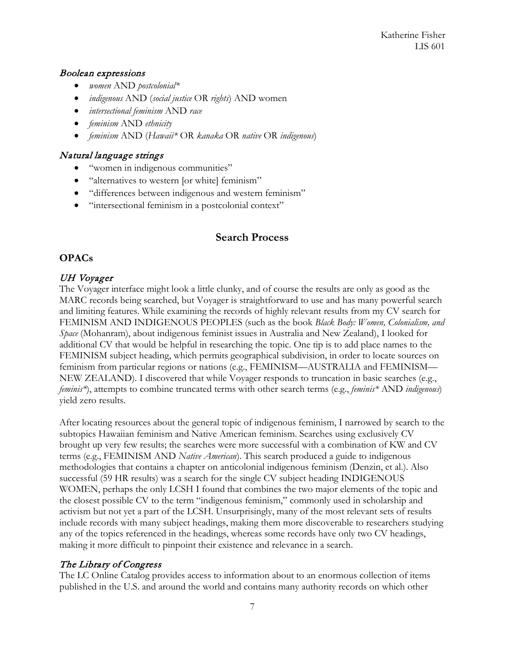#### Boolean expressions

- *women* AND *postcolonial\**
- *indigenous* AND (*social justice* OR *rights*) AND women
- *intersectional feminism* AND *race*
- *feminism* AND *ethnicity*
- *feminism* AND (*Hawaii\** OR *kanaka* OR *native* OR *indigenous*)

#### Natural language strings

- "women in indigenous communities"
- "alternatives to western [or white] feminism"
- "differences between indigenous and western feminism"
- <span id="page-6-0"></span>• "intersectional feminism in a postcolonial context"

## **Search Process**

#### <span id="page-6-1"></span>**OPACs**

#### UH Voyager

The Voyager interface might look a little clunky, and of course the results are only as good as the MARC records being searched, but Voyager is straightforward to use and has many powerful search and limiting features. While examining the records of highly relevant results from my CV search for FEMINISM AND INDIGENOUS PEOPLES (such as the book *Black Body: Women, Colonialism, and Space* (Mohanram), about indigenous feminist issues in Australia and New Zealand), I looked for additional CV that would be helpful in researching the topic. One tip is to add place names to the FEMINISM subject heading, which permits geographical subdivision, in order to locate sources on feminism from particular regions or nations (e.g., FEMINISM—AUSTRALIA and FEMINISM— NEW ZEALAND). I discovered that while Voyager responds to truncation in basic searches (e.g., *feminis\**), attempts to combine truncated terms with other search terms (e.g., *feminis\** AND *indigenous*) yield zero results.

After locating resources about the general topic of indigenous feminism, I narrowed by search to the subtopics Hawaiian feminism and Native American feminism. Searches using exclusively CV brought up very few results; the searches were more successful with a combination of KW and CV terms (e.g., FEMINISM AND *Native American*). This search produced a guide to indigenous methodologies that contains a chapter on anticolonial indigenous feminism (Denzin, et al.). Also successful (59 HR results) was a search for the single CV subject heading INDIGENOUS WOMEN, perhaps the only LCSH I found that combines the two major elements of the topic and the closest possible CV to the term "indigenous feminism," commonly used in scholarship and activism but not yet a part of the LCSH. Unsurprisingly, many of the most relevant sets of results include records with many subject headings, making them more discoverable to researchers studying any of the topics referenced in the headings, whereas some records have only two CV headings, making it more difficult to pinpoint their existence and relevance in a search.

#### The Library of Congress

The LC Online Catalog provides access to information about to an enormous collection of items published in the U.S. and around the world and contains many authority records on which other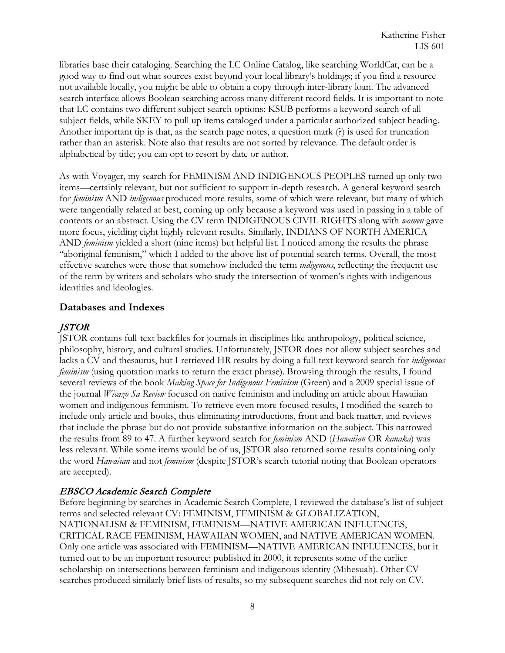libraries base their cataloging. Searching the LC Online Catalog, like searching WorldCat, can be a good way to find out what sources exist beyond your local library's holdings; if you find a resource not available locally, you might be able to obtain a copy through inter-library loan. The advanced search interface allows Boolean searching across many different record fields. It is important to note that LC contains two different subject search options: KSUB performs a keyword search of all subject fields, while SKEY to pull up items cataloged under a particular authorized subject heading. Another important tip is that, as the search page notes, a question mark (?) is used for truncation rather than an asterisk. Note also that results are not sorted by relevance. The default order is alphabetical by title; you can opt to resort by date or author.

As with Voyager, my search for FEMINISM AND INDIGENOUS PEOPLES turned up only two items—certainly relevant, but not sufficient to support in-depth research. A general keyword search for *feminism* AND *indigenous* produced more results, some of which were relevant, but many of which were tangentially related at best, coming up only because a keyword was used in passing in a table of contents or an abstract. Using the CV term INDIGENOUS CIVIL RIGHTS along with *women* gave more focus, yielding eight highly relevant results. Similarly, INDIANS OF NORTH AMERICA AND *feminism* yielded a short (nine items) but helpful list. I noticed among the results the phrase "aboriginal feminism," which I added to the above list of potential search terms. Overall, the most effective searches were those that somehow included the term *indigenous*, reflecting the frequent use of the term by writers and scholars who study the intersection of women's rights with indigenous identities and ideologies.

#### <span id="page-7-0"></span>**Databases and Indexes**

#### JSTOR

JSTOR contains full-text backfiles for journals in disciplines like anthropology, political science, philosophy, history, and cultural studies. Unfortunately, JSTOR does not allow subject searches and lacks a CV and thesaurus, but I retrieved HR results by doing a full-text keyword search for *indigenous feminism* (using quotation marks to return the exact phrase). Browsing through the results, I found several reviews of the book *Making Space for Indigenous Feminism* (Green) and a 2009 special issue of the journal *Wicazo Sa Review* focused on native feminism and including an article about Hawaiian women and indigenous feminism. To retrieve even more focused results, I modified the search to include only article and books, thus eliminating introductions, front and back matter, and reviews that include the phrase but do not provide substantive information on the subject. This narrowed the results from 89 to 47. A further keyword search for *feminism* AND (*Hawaiian* OR *kanaka*) was less relevant. While some items would be of us, JSTOR also returned some results containing only the word *Hawaiian* and not *feminism* (despite JSTOR's search tutorial noting that Boolean operators are accepted).

#### EBSCO Academic Search Complete

Before beginning by searches in Academic Search Complete, I reviewed the database's list of subject terms and selected relevant CV: FEMINISM, FEMINISM & GLOBALIZATION, NATIONALISM & FEMINISM, FEMINISM—NATIVE AMERICAN INFLUENCES, CRITICAL RACE FEMINISM, HAWAIIAN WOMEN, and NATIVE AMERICAN WOMEN. Only one article was associated with FEMINISM—NATIVE AMERICAN INFLUENCES, but it turned out to be an important resource: published in 2000, it represents some of the earlier scholarship on intersections between feminism and indigenous identity (Mihesuah). Other CV searches produced similarly brief lists of results, so my subsequent searches did not rely on CV.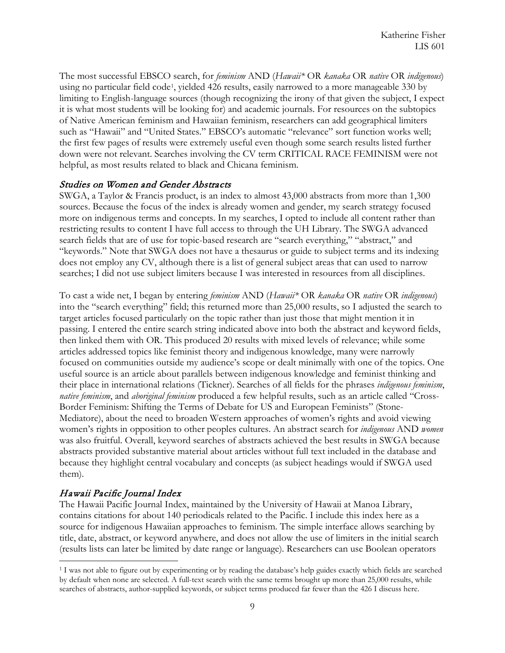The most successful EBSCO search, for *feminism* AND (*Hawaii\** OR *kanaka* OR *native* OR *indigenous*) using no particular field code<sup>1</sup>, yielded 426 results, easily narrowed to a more manageable 330 by limiting to English-language sources (though recognizing the irony of that given the subject, I expect it is what most students will be looking for) and academic journals. For resources on the subtopics of Native American feminism and Hawaiian feminism, researchers can add geographical limiters such as "Hawaii" and "United States." EBSCO's automatic "relevance" sort function works well; the first few pages of results were extremely useful even though some search results listed further down were not relevant. Searches involving the CV term CRITICAL RACE FEMINISM were not helpful, as most results related to black and Chicana feminism.

#### Studies on Women and Gender Abstracts

SWGA, a Taylor & Francis product, is an index to almost 43,000 abstracts from more than 1,300 sources. Because the focus of the index is already women and gender, my search strategy focused more on indigenous terms and concepts. In my searches, I opted to include all content rather than restricting results to content I have full access to through the UH Library. The SWGA advanced search fields that are of use for topic-based research are "search everything," "abstract," and "keywords." Note that SWGA does not have a thesaurus or guide to subject terms and its indexing does not employ any CV, although there is a list of general subject areas that can used to narrow searches; I did not use subject limiters because I was interested in resources from all disciplines.

To cast a wide net, I began by entering *feminism* AND (*Hawaii\** OR *kanaka* OR *native* OR *indigenous*) into the "search everything" field; this returned more than 25,000 results, so I adjusted the search to target articles focused particularly on the topic rather than just those that might mention it in passing. I entered the entire search string indicated above into both the abstract and keyword fields, then linked them with OR. This produced 20 results with mixed levels of relevance; while some articles addressed topics like feminist theory and indigenous knowledge, many were narrowly focused on communities outside my audience's scope or dealt minimally with one of the topics. One useful source is an article about parallels between indigenous knowledge and feminist thinking and their place in international relations (Tickner). Searches of all fields for the phrases *indigenous feminism*, *native feminism*, and *aboriginal feminism* produced a few helpful results, such as an article called "Cross-Border Feminism: Shifting the Terms of Debate for US and European Feminists" (Stone-Mediatore), about the need to broaden Western approaches of women's rights and avoid viewing women's rights in opposition to other peoples cultures. An abstract search for *indigenous* AND *women*  was also fruitful. Overall, keyword searches of abstracts achieved the best results in SWGA because abstracts provided substantive material about articles without full text included in the database and because they highlight central vocabulary and concepts (as subject headings would if SWGA used them).

#### Hawaii Pacific Journal Index

The Hawaii Pacific Journal Index, maintained by the University of Hawaii at Manoa Library, contains citations for about 140 periodicals related to the Pacific. I include this index here as a source for indigenous Hawaiian approaches to feminism. The simple interface allows searching by title, date, abstract, or keyword anywhere, and does not allow the use of limiters in the initial search (results lists can later be limited by date range or language). Researchers can use Boolean operators

<span id="page-8-0"></span> <sup>1</sup> I was not able to figure out by experimenting or by reading the database's help guides exactly which fields are searched by default when none are selected. A full-text search with the same terms brought up more than 25,000 results, while searches of abstracts, author-supplied keywords, or subject terms produced far fewer than the 426 I discuss here.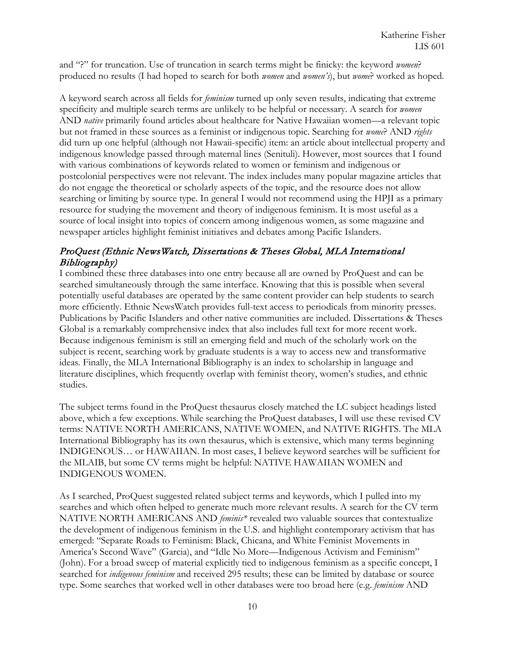and "?" for truncation. Use of truncation in search terms might be finicky: the keyword *women*? produced no results (I had hoped to search for both *women* and *women's*), but *wome*? worked as hoped.

A keyword search across all fields for *feminism* turned up only seven results, indicating that extreme specificity and multiple search terms are unlikely to be helpful or necessary. A search for *women*  AND *native* primarily found articles about healthcare for Native Hawaiian women—a relevant topic but not framed in these sources as a feminist or indigenous topic. Searching for *wome*? AND *rights*  did turn up one helpful (although not Hawaii-specific) item: an article about intellectual property and indigenous knowledge passed through maternal lines (Senituli). However, most sources that I found with various combinations of keywords related to women or feminism and indigenous or postcolonial perspectives were not relevant. The index includes many popular magazine articles that do not engage the theoretical or scholarly aspects of the topic, and the resource does not allow searching or limiting by source type. In general I would not recommend using the HPJI as a primary resource for studying the movement and theory of indigenous feminism. It is most useful as a source of local insight into topics of concern among indigenous women, as some magazine and newspaper articles highlight feminist initiatives and debates among Pacific Islanders.

#### ProQuest (Ethnic NewsWatch, Dissertations & Theses Global, MLA International Bibliography)

I combined these three databases into one entry because all are owned by ProQuest and can be searched simultaneously through the same interface. Knowing that this is possible when several potentially useful databases are operated by the same content provider can help students to search more efficiently. Ethnic NewsWatch provides full-text access to periodicals from minority presses. Publications by Pacific Islanders and other native communities are included. Dissertations & Theses Global is a remarkably comprehensive index that also includes full text for more recent work. Because indigenous feminism is still an emerging field and much of the scholarly work on the subject is recent, searching work by graduate students is a way to access new and transformative ideas. Finally, the MLA International Bibliography is an index to scholarship in language and literature disciplines, which frequently overlap with feminist theory, women's studies, and ethnic studies.

The subject terms found in the ProQuest thesaurus closely matched the LC subject headings listed above, which a few exceptions. While searching the ProQuest databases, I will use these revised CV terms: NATIVE NORTH AMERICANS, NATIVE WOMEN, and NATIVE RIGHTS. The MLA International Bibliography has its own thesaurus, which is extensive, which many terms beginning INDIGENOUS… or HAWAIIAN. In most cases, I believe keyword searches will be sufficient for the MLAIB, but some CV terms might be helpful: NATIVE HAWAIIAN WOMEN and INDIGENOUS WOMEN.

As I searched, ProQuest suggested related subject terms and keywords, which I pulled into my searches and which often helped to generate much more relevant results. A search for the CV term NATIVE NORTH AMERICANS AND *feminis\** revealed two valuable sources that contextualize the development of indigenous feminism in the U.S. and highlight contemporary activism that has emerged: "Separate Roads to Feminism: Black, Chicana, and White Feminist Movements in America's Second Wave" (Garcia), and "Idle No More—Indigenous Activism and Feminism" (John). For a broad sweep of material explicitly tied to indigenous feminism as a specific concept, I searched for *indigenous feminism* and received 295 results; these can be limited by database or source type. Some searches that worked well in other databases were too broad here (e.g. *feminism* AND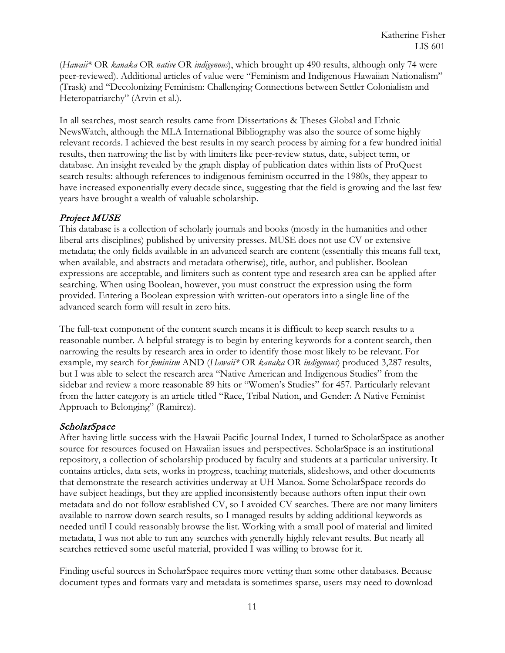(*Hawaii\** OR *kanaka* OR *native* OR *indigenous*), which brought up 490 results, although only 74 were peer-reviewed). Additional articles of value were "Feminism and Indigenous Hawaiian Nationalism" (Trask) and "Decolonizing Feminism: Challenging Connections between Settler Colonialism and Heteropatriarchy" (Arvin et al.).

In all searches, most search results came from Dissertations & Theses Global and Ethnic NewsWatch, although the MLA International Bibliography was also the source of some highly relevant records. I achieved the best results in my search process by aiming for a few hundred initial results, then narrowing the list by with limiters like peer-review status, date, subject term, or database. An insight revealed by the graph display of publication dates within lists of ProQuest search results: although references to indigenous feminism occurred in the 1980s, they appear to have increased exponentially every decade since, suggesting that the field is growing and the last few years have brought a wealth of valuable scholarship.

#### Project MUSE

This database is a collection of scholarly journals and books (mostly in the humanities and other liberal arts disciplines) published by university presses. MUSE does not use CV or extensive metadata; the only fields available in an advanced search are content (essentially this means full text, when available, and abstracts and metadata otherwise), title, author, and publisher. Boolean expressions are acceptable, and limiters such as content type and research area can be applied after searching. When using Boolean, however, you must construct the expression using the form provided. Entering a Boolean expression with written-out operators into a single line of the advanced search form will result in zero hits.

The full-text component of the content search means it is difficult to keep search results to a reasonable number. A helpful strategy is to begin by entering keywords for a content search, then narrowing the results by research area in order to identify those most likely to be relevant. For example, my search for *feminism* AND (*Hawaii\** OR *kanaka* OR *indigenous*) produced 3,287 results, but I was able to select the research area "Native American and Indigenous Studies" from the sidebar and review a more reasonable 89 hits or "Women's Studies" for 457. Particularly relevant from the latter category is an article titled "Race, Tribal Nation, and Gender: A Native Feminist Approach to Belonging" (Ramirez).

#### **ScholarSpace**

After having little success with the Hawaii Pacific Journal Index, I turned to ScholarSpace as another source for resources focused on Hawaiian issues and perspectives. ScholarSpace is an institutional repository, a collection of scholarship produced by faculty and students at a particular university. It contains articles, data sets, works in progress, teaching materials, slideshows, and other documents that demonstrate the research activities underway at UH Manoa. Some ScholarSpace records do have subject headings, but they are applied inconsistently because authors often input their own metadata and do not follow established CV, so I avoided CV searches. There are not many limiters available to narrow down search results, so I managed results by adding additional keywords as needed until I could reasonably browse the list. Working with a small pool of material and limited metadata, I was not able to run any searches with generally highly relevant results. But nearly all searches retrieved some useful material, provided I was willing to browse for it.

Finding useful sources in ScholarSpace requires more vetting than some other databases. Because document types and formats vary and metadata is sometimes sparse, users may need to download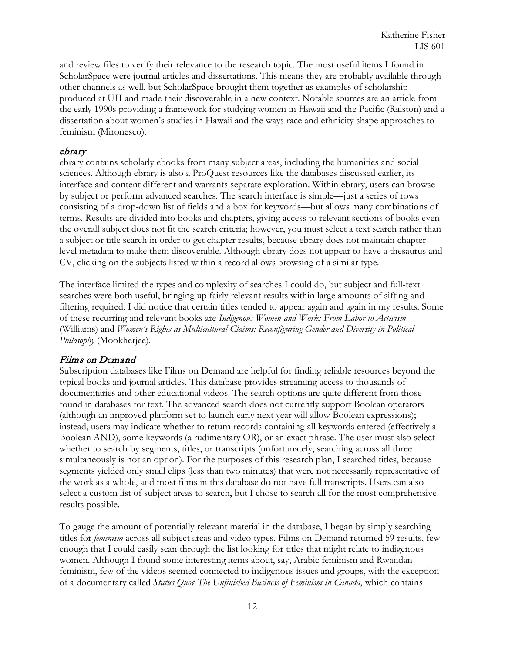and review files to verify their relevance to the research topic. The most useful items I found in ScholarSpace were journal articles and dissertations. This means they are probably available through other channels as well, but ScholarSpace brought them together as examples of scholarship produced at UH and made their discoverable in a new context. Notable sources are an article from the early 1990s providing a framework for studying women in Hawaii and the Pacific (Ralston) and a dissertation about women's studies in Hawaii and the ways race and ethnicity shape approaches to feminism (Mironesco).

#### ebrary

ebrary contains scholarly ebooks from many subject areas, including the humanities and social sciences. Although ebrary is also a ProQuest resources like the databases discussed earlier, its interface and content different and warrants separate exploration. Within ebrary, users can browse by subject or perform advanced searches. The search interface is simple—just a series of rows consisting of a drop-down list of fields and a box for keywords—but allows many combinations of terms. Results are divided into books and chapters, giving access to relevant sections of books even the overall subject does not fit the search criteria; however, you must select a text search rather than a subject or title search in order to get chapter results, because ebrary does not maintain chapterlevel metadata to make them discoverable. Although ebrary does not appear to have a thesaurus and CV, clicking on the subjects listed within a record allows browsing of a similar type.

The interface limited the types and complexity of searches I could do, but subject and full-text searches were both useful, bringing up fairly relevant results within large amounts of sifting and filtering required. I did notice that certain titles tended to appear again and again in my results. Some of these recurring and relevant books are *Indigenous Women and Work: From Labor to Activism* (Williams) and *Women's Rights as Multicultural Claims: Reconfiguring Gender and Diversity in Political Philosophy* (Mookherjee).

#### Films on Demand

Subscription databases like Films on Demand are helpful for finding reliable resources beyond the typical books and journal articles. This database provides streaming access to thousands of documentaries and other educational videos. The search options are quite different from those found in databases for text. The advanced search does not currently support Boolean operators (although an improved platform set to launch early next year will allow Boolean expressions); instead, users may indicate whether to return records containing all keywords entered (effectively a Boolean AND), some keywords (a rudimentary OR), or an exact phrase. The user must also select whether to search by segments, titles, or transcripts (unfortunately, searching across all three simultaneously is not an option). For the purposes of this research plan, I searched titles, because segments yielded only small clips (less than two minutes) that were not necessarily representative of the work as a whole, and most films in this database do not have full transcripts. Users can also select a custom list of subject areas to search, but I chose to search all for the most comprehensive results possible.

To gauge the amount of potentially relevant material in the database, I began by simply searching titles for *feminism* across all subject areas and video types. Films on Demand returned 59 results, few enough that I could easily scan through the list looking for titles that might relate to indigenous women. Although I found some interesting items about, say, Arabic feminism and Rwandan feminism, few of the videos seemed connected to indigenous issues and groups, with the exception of a documentary called *Status Quo? The Unfinished Business of Feminism in Canada*, which contains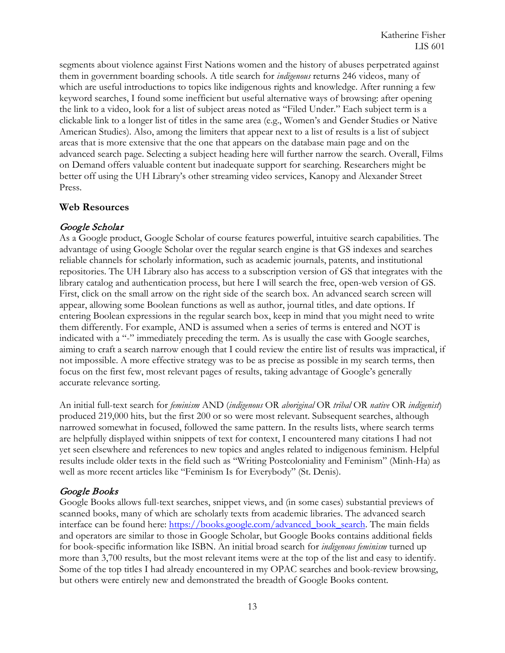segments about violence against First Nations women and the history of abuses perpetrated against them in government boarding schools. A title search for *indigenous* returns 246 videos, many of which are useful introductions to topics like indigenous rights and knowledge. After running a few keyword searches, I found some inefficient but useful alternative ways of browsing: after opening the link to a video, look for a list of subject areas noted as "Filed Under." Each subject term is a clickable link to a longer list of titles in the same area (e.g., Women's and Gender Studies or Native American Studies). Also, among the limiters that appear next to a list of results is a list of subject areas that is more extensive that the one that appears on the database main page and on the advanced search page. Selecting a subject heading here will further narrow the search. Overall, Films on Demand offers valuable content but inadequate support for searching. Researchers might be better off using the UH Library's other streaming video services, Kanopy and Alexander Street Press.

#### <span id="page-12-0"></span>**Web Resources**

#### Google Scholar

As a Google product, Google Scholar of course features powerful, intuitive search capabilities. The advantage of using Google Scholar over the regular search engine is that GS indexes and searches reliable channels for scholarly information, such as academic journals, patents, and institutional repositories. The UH Library also has access to a subscription version of GS that integrates with the library catalog and authentication process, but here I will search the free, open-web version of GS. First, click on the small arrow on the right side of the search box. An advanced search screen will appear, allowing some Boolean functions as well as author, journal titles, and date options. If entering Boolean expressions in the regular search box, keep in mind that you might need to write them differently. For example, AND is assumed when a series of terms is entered and NOT is indicated with a "-" immediately preceding the term. As is usually the case with Google searches, aiming to craft a search narrow enough that I could review the entire list of results was impractical, if not impossible. A more effective strategy was to be as precise as possible in my search terms, then focus on the first few, most relevant pages of results, taking advantage of Google's generally accurate relevance sorting.

An initial full-text search for *feminism* AND (*indigenous* OR *aboriginal* OR *tribal* OR *native* OR *indigenist*) produced 219,000 hits, but the first 200 or so were most relevant. Subsequent searches, although narrowed somewhat in focused, followed the same pattern. In the results lists, where search terms are helpfully displayed within snippets of text for context, I encountered many citations I had not yet seen elsewhere and references to new topics and angles related to indigenous feminism. Helpful results include older texts in the field such as "Writing Postcoloniality and Feminism" (Minh-Ha) as well as more recent articles like "Feminism Is for Everybody" (St. Denis).

#### Google Books

Google Books allows full-text searches, snippet views, and (in some cases) substantial previews of scanned books, many of which are scholarly texts from academic libraries. The advanced search interface can be found here: [https://books.google.com/advanced\\_book\\_search.](https://books.google.com/advanced_book_search) The main fields and operators are similar to those in Google Scholar, but Google Books contains additional fields for book-specific information like ISBN. An initial broad search for *indigenous feminism* turned up more than 3,700 results, but the most relevant items were at the top of the list and easy to identify. Some of the top titles I had already encountered in my OPAC searches and book-review browsing, but others were entirely new and demonstrated the breadth of Google Books content.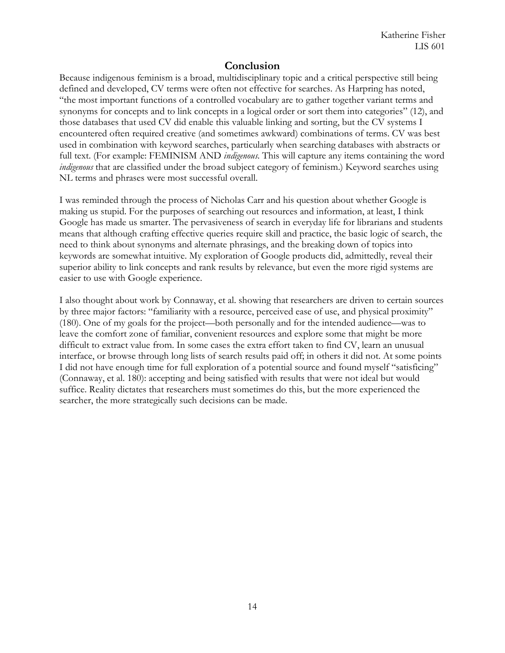## **Conclusion**

<span id="page-13-0"></span>Because indigenous feminism is a broad, multidisciplinary topic and a critical perspective still being defined and developed, CV terms were often not effective for searches. As Harpring has noted, "the most important functions of a controlled vocabulary are to gather together variant terms and synonyms for concepts and to link concepts in a logical order or sort them into categories" (12), and those databases that used CV did enable this valuable linking and sorting, but the CV systems I encountered often required creative (and sometimes awkward) combinations of terms. CV was best used in combination with keyword searches, particularly when searching databases with abstracts or full text. (For example: FEMINISM AND *indigenous*. This will capture any items containing the word *indigenous* that are classified under the broad subject category of feminism.) Keyword searches using NL terms and phrases were most successful overall.

I was reminded through the process of Nicholas Carr and his question about whether Google is making us stupid. For the purposes of searching out resources and information, at least, I think Google has made us smarter. The pervasiveness of search in everyday life for librarians and students means that although crafting effective queries require skill and practice, the basic logic of search, the need to think about synonyms and alternate phrasings, and the breaking down of topics into keywords are somewhat intuitive. My exploration of Google products did, admittedly, reveal their superior ability to link concepts and rank results by relevance, but even the more rigid systems are easier to use with Google experience.

<span id="page-13-1"></span>I also thought about work by Connaway, et al. showing that researchers are driven to certain sources by three major factors: "familiarity with a resource, perceived ease of use, and physical proximity" (180). One of my goals for the project—both personally and for the intended audience—was to leave the comfort zone of familiar, convenient resources and explore some that might be more difficult to extract value from. In some cases the extra effort taken to find CV, learn an unusual interface, or browse through long lists of search results paid off; in others it did not. At some points I did not have enough time for full exploration of a potential source and found myself "satisficing" (Connaway, et al. 180): accepting and being satisfied with results that were not ideal but would suffice. Reality dictates that researchers must sometimes do this, but the more experienced the searcher, the more strategically such decisions can be made.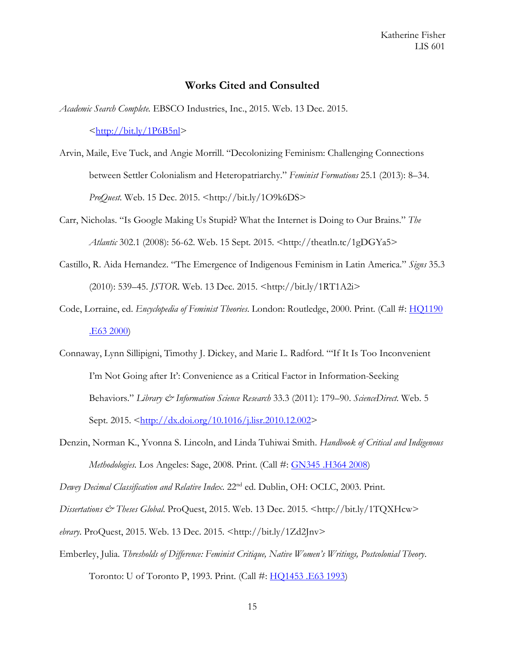#### **Works Cited and Consulted**

*Academic Search Complete.* EBSCO Industries, Inc., 2015. Web. 13 Dec. 2015.

 $\frac{\text{http://bit.ly/1P6B5nl}}{}$ 

- Arvin, Maile, Eve Tuck, and Angie Morrill. "Decolonizing Feminism: Challenging Connections between Settler Colonialism and Heteropatriarchy." *Feminist Formations* 25.1 (2013): 8–34. *ProQuest.* Web. 15 Dec. 2015. <http://bit.ly/1O9k6DS>
- Carr, Nicholas. "Is Google Making Us Stupid? What the Internet is Doing to Our Brains." *The Atlantic* 302.1 (2008): 56-62. Web. 15 Sept. 2015. <http://theatln.tc/1gDGYa5>
- Castillo, R. Aida Hernandez. "The Emergence of Indigenous Feminism in Latin America." *Signs* 35.3 (2010): 539–45. *JSTOR*. Web. 13 Dec. 2015. <http://bit.ly/1RT1A2i>
- Code, Lorraine, ed. *Encyclopedia of Feminist Theories*. London: Routledge, 2000. Print. (Call #: [HQ1190](https://uhmanoa.lib.hawaii.edu/vwebv/search?searchArg=%20HQ1190%20.E63%202000&searchCode=CALL+%2B&searchType=1)  [.E63 2000\)](https://uhmanoa.lib.hawaii.edu/vwebv/search?searchArg=%20HQ1190%20.E63%202000&searchCode=CALL+%2B&searchType=1)
- Connaway, Lynn Sillipigni, Timothy J. Dickey, and Marie L. Radford. "'If It Is Too Inconvenient I'm Not Going after It': Convenience as a Critical Factor in Information-Seeking Behaviors." *Library & Information Science Research* 33.3 (2011): 179–90. *ScienceDirect*. Web. 5 Sept. 2015. < $\frac{\text{http://dx.doi.org/10.1016/j.lisr.2010.12.002}}{$
- Denzin, Norman K., Yvonna S. Lincoln, and Linda Tuhiwai Smith. *Handbook of Critical and Indigenous Methodologies*. Los Angeles: Sage, 2008. Print. (Call #: [GN345 .H364 2008\)](https://uhmanoa.lib.hawaii.edu/vwebv/search?searchArg=%20GN345%20.H364%202008&searchCode=CALL+%2B&searchType=1)

*Dewey Decimal Classification and Relative Index*. 22nd ed. Dublin, OH: OCLC, 2003. Print.

*Dissertations & Theses Global.* ProQuest, 2015. Web. 13 Dec. 2015. <http://bit.ly/1TQXHcw>

*ebrary*. ProQuest, 2015. Web. 13 Dec. 2015. <http://bit.ly/1Zd2Jnv>

Emberley, Julia. *Thresholds of Difference: Feminist Critique, Native Women's Writings, Postcolonial Theory*.

Toronto: U of Toronto P, 1993. Print. (Call #: [HQ1453 .E63 1993\)](https://uhmanoa.lib.hawaii.edu/vwebv/search?searchArg=%20HQ1453%20.E63%201993&searchCode=CALL+%2B&searchType=1)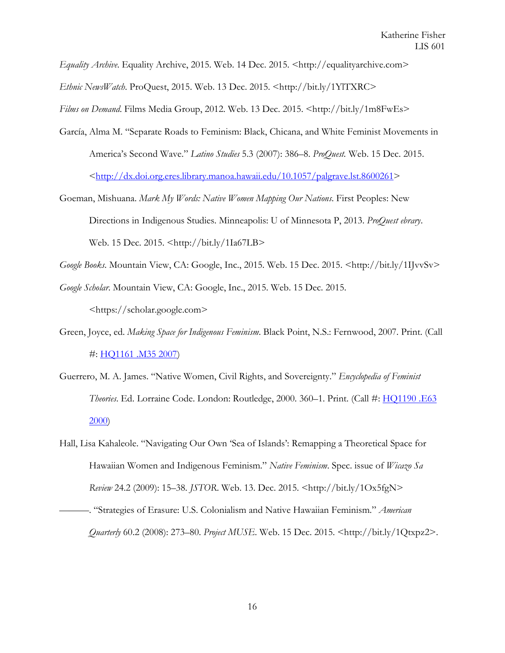*Equality Archive.* Equality Archive, 2015. Web. 14 Dec. 2015. <http://equalityarchive.com> *Ethnic NewsWatch*. ProQuest, 2015. Web. 13 Dec. 2015. <http://bit.ly/1YlTXRC> *Films on Demand*. Films Media Group, 2012. Web. 13 Dec. 2015. <http://bit.ly/1m8FwEs>

- García, Alma M. "Separate Roads to Feminism: Black, Chicana, and White Feminist Movements in America's Second Wave." *Latino Studies* 5.3 (2007): 386–8. *ProQuest.* Web. 15 Dec. 2015. [<http://dx.doi.org.eres.library.manoa.hawaii.edu/10.1057/palgrave.lst.8600261>](http://dx.doi.org.eres.library.manoa.hawaii.edu/10.1057/palgrave.lst.8600261)
- Goeman, Mishuana. *Mark My Words: Native Women Mapping Our Nations*. First Peoples: New Directions in Indigenous Studies. Minneapolis: U of Minnesota P, 2013. *ProQuest ebrary*. Web. 15 Dec. 2015. <http://bit.ly/1Ia67LB>
- *Google Books*. Mountain View, CA: Google, Inc., 2015. Web. 15 Dec. 2015. <http://bit.ly/1IJvvSv>
- *Google Scholar*. Mountain View, CA: Google, Inc., 2015. Web. 15 Dec. 2015. <https://scholar.google.com>
- Green, Joyce, ed. *Making Space for Indigenous Feminism*. Black Point, N.S.: Fernwood, 2007. Print. (Call #: [HQ1161 .M35 2007\)](https://uhmanoa.lib.hawaii.edu/vwebv/search?searchArg=%20HQ1161%20.M35%202007&searchCode=CALL+%2B&searchType=1)
- Guerrero, M. A. James. "Native Women, Civil Rights, and Sovereignty." *Encyclopedia of Feminist Theories*. Ed. Lorraine Code. London: Routledge, 2000. 360–1. Print. (Call #: [HQ1190 .E63](https://uhmanoa.lib.hawaii.edu/vwebv/search?searchArg=%20HQ1190%20.E63%202000&searchCode=CALL+%2B&searchType=1)  [2000\)](https://uhmanoa.lib.hawaii.edu/vwebv/search?searchArg=%20HQ1190%20.E63%202000&searchCode=CALL+%2B&searchType=1)
- Hall, Lisa Kahaleole. "Navigating Our Own 'Sea of Islands': Remapping a Theoretical Space for Hawaiian Women and Indigenous Feminism." *Native Feminism*. Spec. issue of *Wicazo Sa Review* 24.2 (2009): 15–38. *JSTOR*. Web. 13. Dec. 2015. <http://bit.ly/1Ox5fgN> ———. "Strategies of Erasure: U.S. Colonialism and Native Hawaiian Feminism." *American*

*Quarterly* 60.2 (2008): 273–80. *Project MUSE*. Web. 15 Dec. 2015. <http://bit.ly/1Qtxpz2>.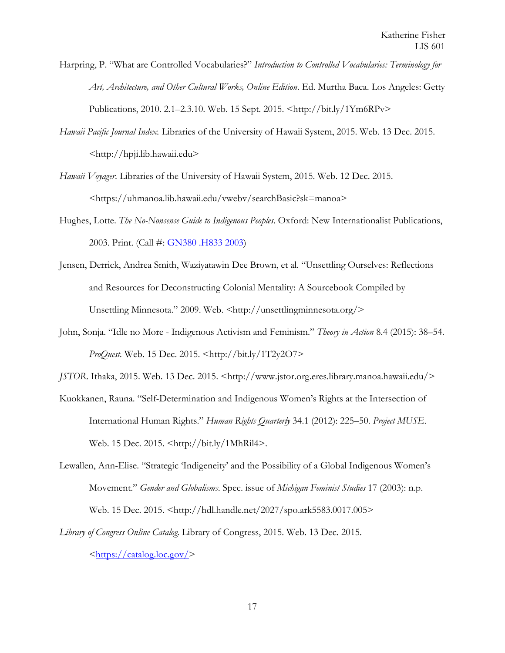Harpring, P. "What are Controlled Vocabularies?" *Introduction to Controlled Vocabularies: Terminology for Art, Architecture, and Other Cultural Works, Online Edition*. Ed. Murtha Baca. Los Angeles: Getty Publications, 2010. 2.1–2.3.10. Web. 15 Sept. 2015. <http://bit.ly/1Ym6RPv>

- *Hawaii Pacific Journal Index.* Libraries of the University of Hawaii System, 2015. Web. 13 Dec. 2015. <http://hpji.lib.hawaii.edu>
- *Hawaii Voyager*. Libraries of the University of Hawaii System, 2015. Web. 12 Dec. 2015. <https://uhmanoa.lib.hawaii.edu/vwebv/searchBasic?sk=manoa>
- Hughes, Lotte. *The No-Nonsense Guide to Indigenous Peoples*. Oxford: New Internationalist Publications, 2003. Print. (Call #: [GN380 .H833 2003\)](https://uhmanoa.lib.hawaii.edu/vwebv/search?searchArg=%20GN380%20.H833%202003&searchCode=CALL+%2B&searchType=1)
- Jensen, Derrick, Andrea Smith, Waziyatawin Dee Brown, et al. "Unsettling Ourselves: Reflections and Resources for Deconstructing Colonial Mentality: A Sourcebook Compiled by Unsettling Minnesota." 2009. Web. <http://unsettlingminnesota.org/>
- John, Sonja. "Idle no More Indigenous Activism and Feminism." *Theory in Action* 8.4 (2015): 38–54. *ProQuest.* Web. 15 Dec. 2015. <http://bit.ly/1T2y2O7>
- *JSTOR.* Ithaka, 2015. Web. 13 Dec. 2015. <http://www.jstor.org.eres.library.manoa.hawaii.edu/>
- Kuokkanen, Rauna. "Self-Determination and Indigenous Women's Rights at the Intersection of International Human Rights." *Human Rights Quarterly* 34.1 (2012): 225–50. *Project MUSE*. Web. 15 Dec. 2015. <http://bit.ly/1MhRil4>.
- Lewallen, Ann-Elise. "Strategic 'Indigeneity' and the Possibility of a Global Indigenous Women's Movement." *Gender and Globalisms*. Spec. issue of *Michigan Feminist Studies* 17 (2003): n.p. Web. 15 Dec. 2015. <http://hdl.handle.net/2027/spo.ark5583.0017.005>
- *Library of Congress Online Catalog.* Library of Congress, 2015. Web. 13 Dec. 2015.  $\langle \frac{\text{https://catalog.loc.gov/}}{\text{https://catalog.loc.gov/}} \rangle$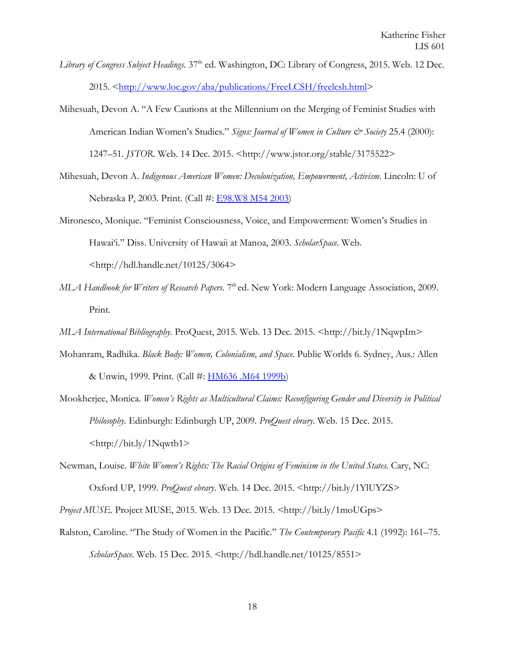- *Library of Congress Subject Headings.* 37<sup>th</sup> ed. Washington, DC: Library of Congress, 2015. Web. 12 Dec. 2015. [<http://www.loc.gov/aba/publications/FreeLCSH/freelcsh.html>](http://www.loc.gov/aba/publications/FreeLCSH/freelcsh.html)
- Mihesuah, Devon A. "A Few Cautions at the Millennium on the Merging of Feminist Studies with American Indian Women's Studies." Signs: Journal of Women in Culture & Society 25.4 (2000): 1247–51. *JSTOR*. Web. 14 Dec. 2015. <http://www.jstor.org/stable/3175522>
- Mihesuah, Devon A. Indigenous American Women: Decolonization, Empowerment, Activism. Lincoln: U of Nebraska P, 2003. Print. (Call #: [E98.W8 M54 2003\)](https://uhmanoa.lib.hawaii.edu/vwebv/search?searchArg=%20E98.W8%20M54%202003&searchCode=CALL+%2B&searchType=1)
- Mironesco, Monique. "Feminist Consciousness, Voice, and Empowerment: Women's Studies in Hawai'i." Diss. University of Hawaii at Manoa, 2003. *ScholarSpace*. Web. <http://hdl.handle.net/10125/3064>
- *MLA Handbook for Writers of Research Papers*. 7<sup>th</sup> ed. New York: Modern Language Association, 2009. Print.
- *MLA International Bibliography*. ProQuest, 2015. Web. 13 Dec. 2015. <http://bit.ly/1NqwpIm>
- Mohanram, Radhika. *Black Body: Women, Colonialism, and Space*. Public Worlds 6. Sydney, Aus.: Allen & Unwin, 1999. Print. (Call #: [HM636 .M64 1999b\)](https://uhmanoa.lib.hawaii.edu/vwebv/search?searchArg=%20HM636%20.M64%201999b&searchCode=CALL+%2B&searchType=1)
- Mookherjee, Monica. *Women's Rights as Multicultural Claims: Reconfiguring Gender and Diversity in Political Philosophy*. Edinburgh: Edinburgh UP, 2009. *ProQuest ebrary*. Web. 15 Dec. 2015.  $\langle \frac{h_{\text{t}}}{h_{\text{t}}}\rangle$  / bit.ly / 1Nqwtb1>
- Newman, Louise. *White Women's Rights: The Racial Origins of Feminism in the United States*. Cary, NC: Oxford UP, 1999. *ProQuest ebrary*. Web. 14 Dec. 2015. <http://bit.ly/1YlUYZS>

*Project MUSE.* Project MUSE, 2015. Web. 13 Dec. 2015. *<*http://bit.ly/1moUGps>

Ralston, Caroline. "The Study of Women in the Pacific." *The Contemporary Pacific* 4.1 (1992): 161–75. *ScholarSpace*. Web. 15 Dec. 2015. <http://hdl.handle.net/10125/8551>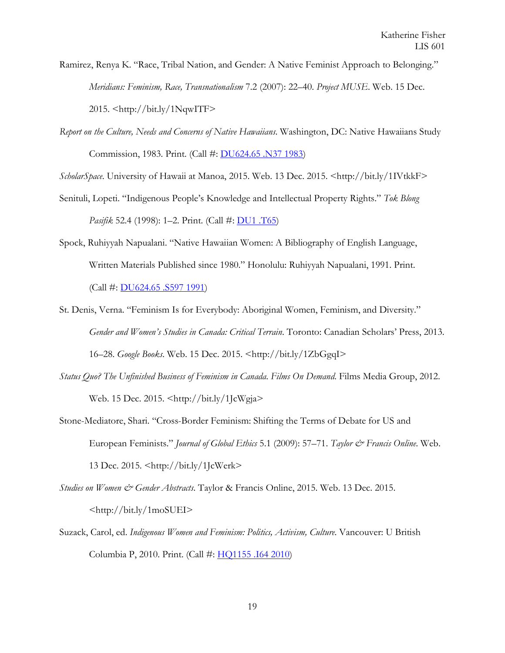Ramirez, Renya K. "Race, Tribal Nation, and Gender: A Native Feminist Approach to Belonging." *Meridians: Feminism, Race, Transnationalism* 7.2 (2007): 22–40. *Project MUSE*. Web. 15 Dec. 2015. <http://bit.ly/1NqwITF>

*Report on the Culture, Needs and Concerns of Native Hawaiians*. Washington, DC: Native Hawaiians Study Commission, 1983. Print. (Call #: [DU624.65 .N37 1983\)](https://uhmanoa.lib.hawaii.edu/vwebv/search?searchArg=%20DU624.65%20.N37%201983&searchCode=CALL+%2B&searchType=1)

*ScholarSpace*. University of Hawaii at Manoa, 2015. Web. 13 Dec. 2015. <http://bit.ly/1IVtkkF>

- Senituli, Lopeti. "Indigenous People's Knowledge and Intellectual Property Rights." *Tok Blong Pasifik* 52.4 (1998): 1–2. Print. (Call #: **DU1** .T65)
- Spock, Ruhiyyah Napualani. "Native Hawaiian Women: A Bibliography of English Language, Written Materials Published since 1980." Honolulu: Ruhiyyah Napualani, 1991. Print. (Call #: [DU624.65 .S597 1991\)](https://uhmanoa.lib.hawaii.edu/vwebv/search?searchArg=%20DU624.65%20.S597%201991&searchCode=CALL+%2B&searchType=1)
- St. Denis, Verna. "Feminism Is for Everybody: Aboriginal Women, Feminism, and Diversity." *Gender and Women's Studies in Canada: Critical Terrain*. Toronto: Canadian Scholars' Press, 2013.

16–28. *Google Books*. Web. 15 Dec. 2015. <http://bit.ly/1ZbGgqI>

- *Status Quo? The Unfinished Business of Feminism in Canada*. *Films On Demand*. Films Media Group, 2012. Web. 15 Dec. 2015. <http://bit.ly/1JcWgja>
- Stone-Mediatore, Shari. "Cross-Border Feminism: Shifting the Terms of Debate for US and European Feminists." *Journal of Global Ethics* 5.1 (2009): 57–71. *Taylor & Francis Online*. Web. 13 Dec. 2015. <http://bit.ly/1JcWerk>
- *Studies on Women & Gender Abstracts*. Taylor & Francis Online, 2015. Web. 13 Dec. 2015. <http://bit.ly/1moSUEI>
- Suzack, Carol, ed. *Indigenous Women and Feminism: Politics, Activism, Culture*. Vancouver: U British Columbia P, 2010. Print. (Call #: [HQ1155 .I64 2010\)](https://uhmanoa.lib.hawaii.edu/vwebv/search?searchArg=%20HQ1155%20.I64%202010&searchCode=CALL+%2B&searchType=1)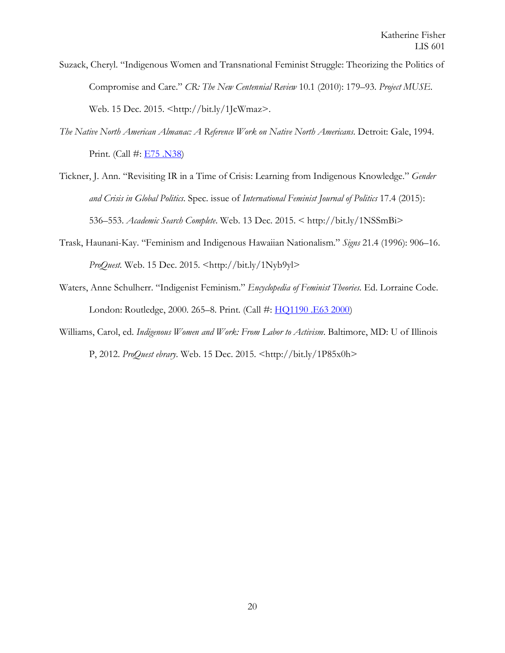- Suzack, Cheryl. "Indigenous Women and Transnational Feminist Struggle: Theorizing the Politics of Compromise and Care." *CR: The New Centennial Review* 10.1 (2010): 179–93. *Project MUSE*. Web. 15 Dec. 2015. <http://bit.ly/1JcWmaz>.
- *The Native North American Almanac: A Reference Work on Native North Americans*. Detroit: Gale, 1994. Print. (Call #: [E75 .N38\)](https://uhmanoa.lib.hawaii.edu/vwebv/search?searchArg=%20E75%20.N38&searchCode=CALL+%2B&searchType=1)
- Tickner, J. Ann. "Revisiting IR in a Time of Crisis: Learning from Indigenous Knowledge." *Gender and Crisis in Global Politics*. Spec. issue of *International Feminist Journal of Politics* 17.4 (2015): 536–553. *Academic Search Complete*. Web. 13 Dec. 2015. < http://bit.ly/1NSSmBi>
- Trask, Haunani-Kay. "Feminism and Indigenous Hawaiian Nationalism." *Signs* 21.4 (1996): 906–16. *ProQuest.* Web. 15 Dec. 2015. <http://bit.ly/1Nyb9yl>
- Waters, Anne Schulherr. "Indigenist Feminism." *Encyclopedia of Feminist Theories*. Ed. Lorraine Code. London: Routledge, 2000. 265–8. Print. (Call #: [HQ1190 .E63 2000\)](https://uhmanoa.lib.hawaii.edu/vwebv/search?searchArg=%20HQ1190%20.E63%202000&searchCode=CALL+%2B&searchType=1)
- <span id="page-19-0"></span>Williams, Carol, ed. *Indigenous Women and Work: From Labor to Activism*. Baltimore, MD: U of Illinois P, 2012. *ProQuest ebrary*. Web. 15 Dec. 2015. <http://bit.ly/1P85x0h>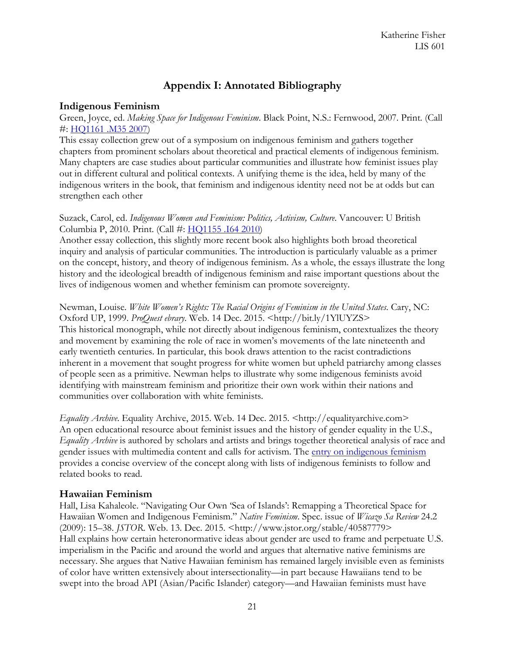## **Appendix I: Annotated Bibliography**

#### <span id="page-20-0"></span>**Indigenous Feminism**

Green, Joyce, ed. *Making Space for Indigenous Feminism*. Black Point, N.S.: Fernwood, 2007. Print. (Call #: [HQ1161 .M35 2007\)](https://uhmanoa.lib.hawaii.edu/vwebv/search?searchArg=%20HQ1161%20.M35%202007&searchCode=CALL+%2B&searchType=1)

This essay collection grew out of a symposium on indigenous feminism and gathers together chapters from prominent scholars about theoretical and practical elements of indigenous feminism. Many chapters are case studies about particular communities and illustrate how feminist issues play out in different cultural and political contexts. A unifying theme is the idea, held by many of the indigenous writers in the book, that feminism and indigenous identity need not be at odds but can strengthen each other

Suzack, Carol, ed. *Indigenous Women and Feminism: Politics, Activism, Culture*. Vancouver: U British Columbia P, 2010. Print. (Call #: HO1155 .164 2010)

Another essay collection, this slightly more recent book also highlights both broad theoretical inquiry and analysis of particular communities. The introduction is particularly valuable as a primer on the concept, history, and theory of indigenous feminism. As a whole, the essays illustrate the long history and the ideological breadth of indigenous feminism and raise important questions about the lives of indigenous women and whether feminism can promote sovereignty.

Newman, Louise. *White Women's Rights: The Racial Origins of Feminism in the United States*. Cary, NC: Oxford UP, 1999. *ProQuest ebrary*. Web. 14 Dec. 2015. <http://bit.ly/1YlUYZS> This historical monograph, while not directly about indigenous feminism, contextualizes the theory and movement by examining the role of race in women's movements of the late nineteenth and early twentieth centuries. In particular, this book draws attention to the racist contradictions inherent in a movement that sought progress for white women but upheld patriarchy among classes of people seen as a primitive. Newman helps to illustrate why some indigenous feminists avoid identifying with mainstream feminism and prioritize their own work within their nations and communities over collaboration with white feminists.

*Equality Archive.* Equality Archive, 2015. Web. 14 Dec. 2015. <http://equalityarchive.com> An open educational resource about feminist issues and the history of gender equality in the U.S., *Equality Archive* is authored by scholars and artists and brings together theoretical analysis of race and gender issues with multimedia content and calls for activism. The [entry on indigenous feminism](http://equalityarchive.com/issues/indigenous-feminism/) provides a concise overview of the concept along with lists of indigenous feminists to follow and related books to read.

#### <span id="page-20-1"></span>**Hawaiian Feminism**

Hall, Lisa Kahaleole. "Navigating Our Own 'Sea of Islands': Remapping a Theoretical Space for Hawaiian Women and Indigenous Feminism." *Native Feminism*. Spec. issue of *Wicazo Sa Review* 24.2 (2009): 15–38. *JSTOR*. Web. 13. Dec. 2015. <http://www.jstor.org/stable/40587779> Hall explains how certain heteronormative ideas about gender are used to frame and perpetuate U.S. imperialism in the Pacific and around the world and argues that alternative native feminisms are necessary. She argues that Native Hawaiian feminism has remained largely invisible even as feminists of color have written extensively about intersectionality—in part because Hawaiians tend to be swept into the broad API (Asian/Pacific Islander) category—and Hawaiian feminists must have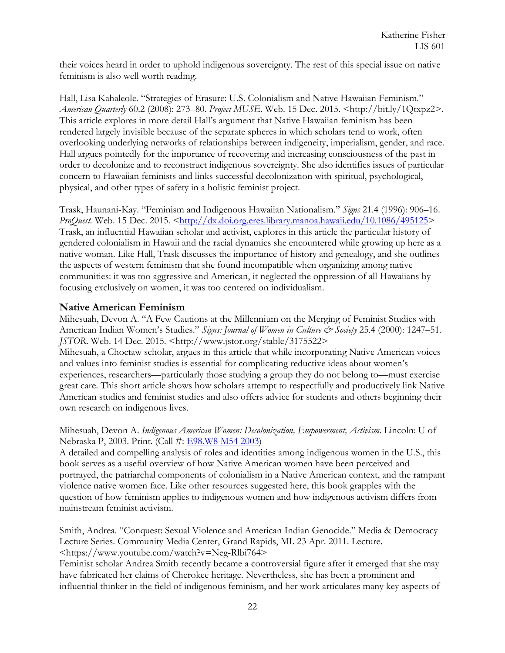their voices heard in order to uphold indigenous sovereignty. The rest of this special issue on native feminism is also well worth reading.

Hall, Lisa Kahaleole. "Strategies of Erasure: U.S. Colonialism and Native Hawaiian Feminism." *American Quarterly* 60.2 (2008): 273–80. *Project MUSE*. Web. 15 Dec. 2015. <http://bit.ly/1Qtxpz2>. This article explores in more detail Hall's argument that Native Hawaiian feminism has been rendered largely invisible because of the separate spheres in which scholars tend to work, often overlooking underlying networks of relationships between indigeneity, imperialism, gender, and race. Hall argues pointedly for the importance of recovering and increasing consciousness of the past in order to decolonize and to reconstruct indigenous sovereignty. She also identifies issues of particular concern to Hawaiian feminists and links successful decolonization with spiritual, psychological, physical, and other types of safety in a holistic feminist project.

Trask, Haunani-Kay. "Feminism and Indigenous Hawaiian Nationalism." *Signs* 21.4 (1996): 906–16. *ProQuest.* Web. 15 Dec. 2015. [<http://dx.doi.org.eres.library.manoa.hawaii.edu/10.1086/495125>](http://dx.doi.org.eres.library.manoa.hawaii.edu/10.1086/495125) Trask, an influential Hawaiian scholar and activist, explores in this article the particular history of gendered colonialism in Hawaii and the racial dynamics she encountered while growing up here as a native woman. Like Hall, Trask discusses the importance of history and genealogy, and she outlines the aspects of western feminism that she found incompatible when organizing among native communities: it was too aggressive and American, it neglected the oppression of all Hawaiians by focusing exclusively on women, it was too centered on individualism.

#### <span id="page-21-0"></span>**Native American Feminism**

Mihesuah, Devon A. "A Few Cautions at the Millennium on the Merging of Feminist Studies with American Indian Women's Studies." *Signs: Journal of Women in Culture & Society* 25.4 (2000): 1247–51. *JSTOR*. Web. 14 Dec. 2015. <http://www.jstor.org/stable/3175522>

Mihesuah, a Choctaw scholar, argues in this article that while incorporating Native American voices and values into feminist studies is essential for complicating reductive ideas about women's experiences, researchers—particularly those studying a group they do not belong to—must exercise great care. This short article shows how scholars attempt to respectfully and productively link Native American studies and feminist studies and also offers advice for students and others beginning their own research on indigenous lives.

Mihesuah, Devon A. Indigenous American Women: Decolonization, Empowerment, Activism. Lincoln: U of Nebraska P, 2003. Print. (Call #: [E98.W8 M54 2003\)](https://uhmanoa.lib.hawaii.edu/vwebv/search?searchArg=%20E98.W8%20M54%202003&searchCode=CALL+%2B&searchType=1)

A detailed and compelling analysis of roles and identities among indigenous women in the U.S., this book serves as a useful overview of how Native American women have been perceived and portrayed, the patriarchal components of colonialism in a Native American context, and the rampant violence native women face. Like other resources suggested here, this book grapples with the question of how feminism applies to indigenous women and how indigenous activism differs from mainstream feminist activism.

Smith, Andrea. "Conquest: Sexual Violence and American Indian Genocide." Media & Democracy Lecture Series. Community Media Center, Grand Rapids, MI. 23 Apr. 2011. Lecture. <https://www.youtube.com/watch?v=Neg-Rlbi764>

Feminist scholar Andrea Smith recently became a controversial figure after it emerged that she may have fabricated her claims of Cherokee heritage. Nevertheless, she has been a prominent and influential thinker in the field of indigenous feminism, and her work articulates many key aspects of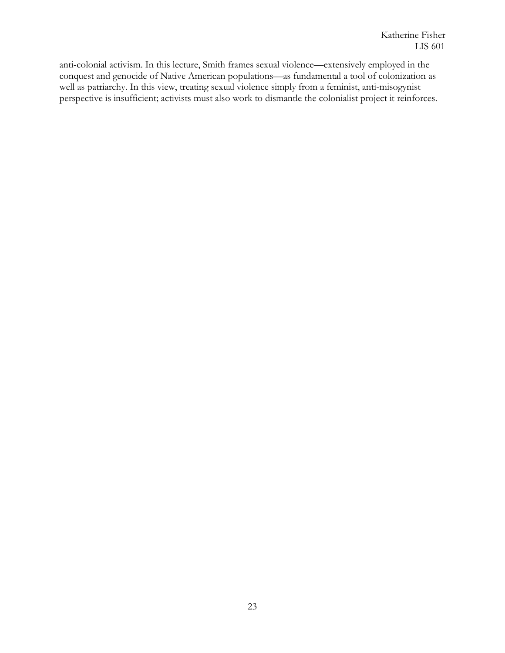<span id="page-22-0"></span>anti-colonial activism. In this lecture, Smith frames sexual violence—extensively employed in the conquest and genocide of Native American populations—as fundamental a tool of colonization as well as patriarchy. In this view, treating sexual violence simply from a feminist, anti-misogynist perspective is insufficient; activists must also work to dismantle the colonialist project it reinforces.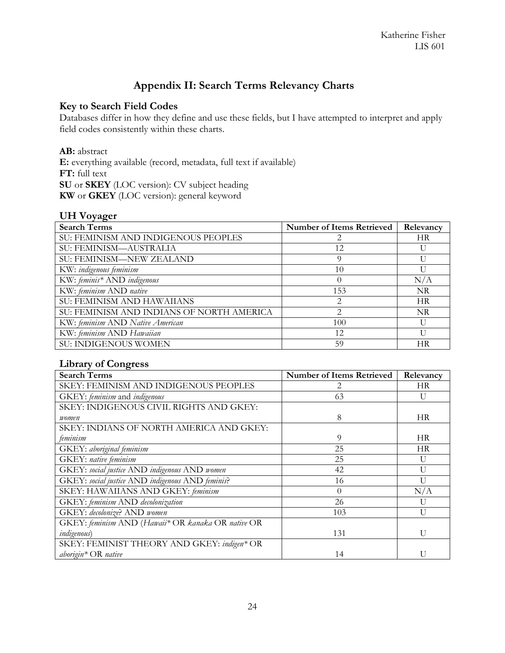## **Appendix II: Search Terms Relevancy Charts**

#### **Key to Search Field Codes**

Databases differ in how they define and use these fields, but I have attempted to interpret and apply field codes consistently within these charts.

#### **AB:** abstract

**E:** everything available (record, metadata, full text if available) **FT:** full text **SU** or **SKEY** (LOC version): CV subject heading **KW** or **GKEY** (LOC version): general keyword

#### **UH Voyager**

| ັ ຕ<br><b>Search Terms</b>                | <b>Number of Items Retrieved</b> | Relevancy |
|-------------------------------------------|----------------------------------|-----------|
| SU: FEMINISM AND INDIGENOUS PEOPLES       |                                  | <b>HR</b> |
| SU: FEMINISM-AUSTRALIA                    | 12                               |           |
| <b>SU: FEMINISM-NEW ZEALAND</b>           | 9                                |           |
| KW: indigenous feminism                   | 10                               |           |
| KW: feminis* AND indigenous               | 0                                | N/A       |
| KW: feminism AND native                   | 153                              | <b>NR</b> |
| <b>SU: FEMINISM AND HAWAIIANS</b>         | 2                                | <b>HR</b> |
| SU: FEMINISM AND INDIANS OF NORTH AMERICA | $\mathfrak{D}_{\mathfrak{p}}$    | <b>NR</b> |
| KW: feminism AND Native American          | 100                              |           |
| KW: feminism AND Hawaiian                 | 12                               | Н         |
| SU: INDIGENOUS WOMEN                      | 59                               | НR        |

#### **Library of Congress**

| <b>Search Terms</b>                                | <b>Number of Items Retrieved</b> | Relevancy      |
|----------------------------------------------------|----------------------------------|----------------|
| SKEY: FEMINISM AND INDIGENOUS PEOPLES              | $\mathcal{D}_{\cdot}$            | <b>HR</b>      |
| GKEY: feminism and indigenous                      | 63                               | U              |
| SKEY: INDIGENOUS CIVIL RIGHTS AND GKEY:            |                                  |                |
| women                                              | 8                                | <b>HR</b>      |
| SKEY: INDIANS OF NORTH AMERICA AND GKEY:           |                                  |                |
| feminism                                           | 9                                | <b>HR</b>      |
| GKEY: aboriginal feminism                          | 25                               | HR             |
| <b>GKEY</b> : native feminism                      | 25                               | U              |
| GKEY: social justice AND indigenous AND women      | 42                               | $\mathbf{U}$   |
| GKEY: social justice AND indigenous AND feminis?   | 16                               | $\mathbf{I}$   |
| SKEY: HAWAIIANS AND GKEY: feminism                 | $\Omega$                         | N/A            |
| GKEY: feminism AND decolonization                  | 26                               | U              |
| GKEY: decolonize? AND women                        | 103                              | $\overline{1}$ |
| GKEY: feminism AND (Hawaii* OR kanaka OR native OR |                                  |                |
| <i>indigenous</i> )                                | 131                              | $\mathbf{I}$   |
| SKEY: FEMINIST THEORY AND GKEY: indigen* OR        |                                  |                |
| aborigin* OR native                                | 14                               |                |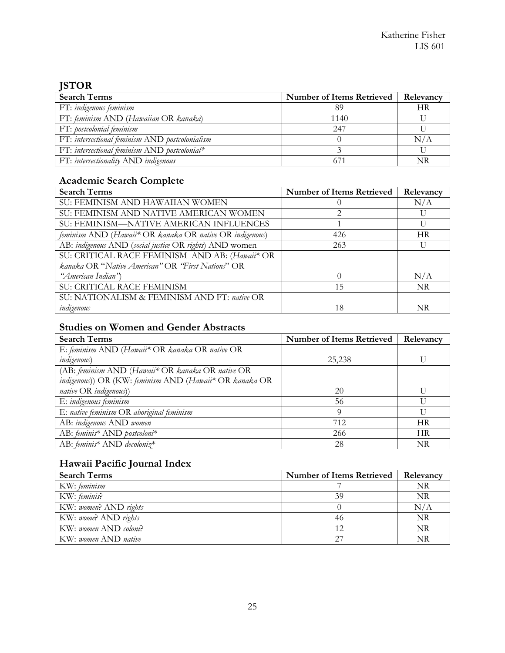## **JSTOR**

| <b>Search Terms</b>                             | Number of Items Retrieved | <b>Relevancy</b> |
|-------------------------------------------------|---------------------------|------------------|
| FT: indigenous feminism                         |                           | НR               |
| FT: feminism AND (Hawaiian OR kanaka)           | 1140                      |                  |
| FT: postcolonial feminism                       | 2.47                      |                  |
| FT: intersectional feminism AND postcolonialism |                           | N/A              |
| FT: intersectional feminism $AND$ postcolonial* |                           |                  |
| FT: intersectionality AND indigenous            |                           | NR               |

## **Academic Search Complete**

| <b>Search Terms</b>                                      | <b>Number of Items Retrieved</b> | Relevancy |
|----------------------------------------------------------|----------------------------------|-----------|
| SU: FEMINISM AND HAWAIIAN WOMEN                          |                                  | N/A       |
| SU: FEMINISM AND NATIVE AMERICAN WOMEN                   |                                  |           |
| SU: FEMINISM-NATIVE AMERICAN INFLUENCES                  |                                  |           |
| feminism AND (Hawaii* OR kanaka OR native OR indigenous) | 426                              | <b>HR</b> |
| AB: indigenous AND (social justice OR rights) AND women  | 263                              |           |
| SU: CRITICAL RACE FEMINISM AND AB: (Hawaii* OR           |                                  |           |
| kanaka OR "Native American" OR "First Nations" OR        |                                  |           |
| "American Indian")                                       |                                  | N/A       |
| SU: CRITICAL RACE FEMINISM                               | 15                               | <b>NR</b> |
| SU: NATIONALISM & FEMINISM AND FT: native OR             |                                  |           |
| indigenous                                               | 18                               | NR        |

## **Studies on Women and Gender Abstracts**

| <b>Search Terms</b>                                     | <b>Number of Items Retrieved</b> | Relevancy |
|---------------------------------------------------------|----------------------------------|-----------|
| E: feminism AND (Hawaii* OR kanaka OR native OR         |                                  |           |
| <i>indigenous</i> )                                     | 25,238                           |           |
| (AB: feminism AND (Hawaii* OR kanaka OR native OR       |                                  |           |
| indigenous)) OR (KW: feminism AND (Hawaii* OR kanaka OR |                                  |           |
| native OR indigenous))                                  | 20                               |           |
| E: indigenous feminism                                  | 56                               |           |
| E: native feminism OR aboriginal feminism               | Q                                |           |
| AB: indigenous AND women                                | 712                              | <b>HR</b> |
| AB: feminis* AND postcoloni*                            | 266                              | <b>HR</b> |
| AB: feminis* AND decoloniz*                             | 28                               | NR        |

## **Hawaii Pacific Journal Index**

| <b>Search Terms</b>   | <b>Number of Items Retrieved</b> | Relevancy |
|-----------------------|----------------------------------|-----------|
| KW: feminism          |                                  | NR        |
| KW: feminis?          | 39                               | NR        |
| KW: women? AND rights |                                  | N/A       |
| KW: wome? AND rights  |                                  | NR        |
| KW: women AND coloni? |                                  | NR        |
| KW: women AND native  |                                  | NR        |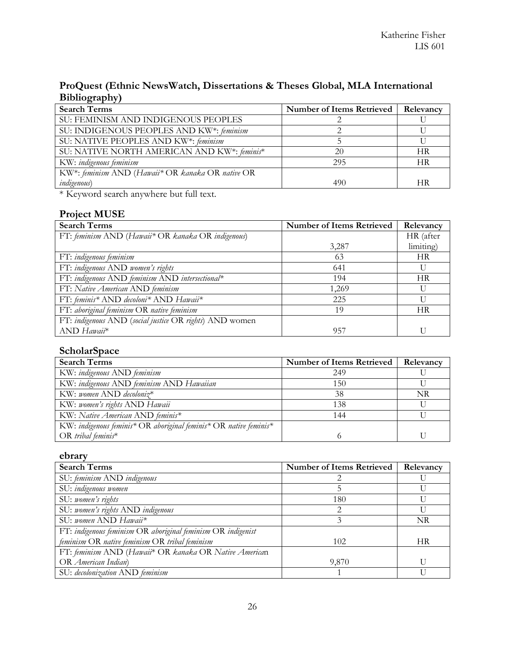## **ProQuest (Ethnic NewsWatch, Dissertations & Theses Global, MLA International Bibliography)**

| <b>Search Terms</b>                               | <b>Number of Items Retrieved</b> | Relevancy |
|---------------------------------------------------|----------------------------------|-----------|
| SU: FEMINISM AND INDIGENOUS PEOPLES               |                                  |           |
| SU: INDIGENOUS PEOPLES AND KW*: feminism          |                                  |           |
| SU: NATIVE PEOPLES AND KW*: feminism              |                                  |           |
| SU: NATIVE NORTH AMERICAN AND KW*: feminis*       | 20                               | НR        |
| KW: indigenous feminism                           | 295                              | НR        |
| KW*: feminism AND (Hawaii* OR kanaka OR native OR |                                  |           |
| <i>indigenous</i> )                               | 490                              | НR        |

\* Keyword search anywhere but full text.

## **Project MUSE**

| <b>Search Terms</b>                                     | <b>Number of Items Retrieved</b> | Relevancy |
|---------------------------------------------------------|----------------------------------|-----------|
| FT: feminism AND (Hawaii* OR kanaka OR indigenous)      |                                  | HR (after |
|                                                         | 3,287                            | limiting) |
| FT: indigenous feminism                                 | 63                               | <b>HR</b> |
| FT: indigenous AND women's rights                       | 641                              |           |
| FT: indigenous AND feminism AND intersectional*         | 194                              | <b>HR</b> |
| FT: Native American AND feminism                        | 1,269                            |           |
| FT: feminis* AND decoloni* AND Hawaii*                  | 225                              |           |
| FT: aboriginal feminism OR native feminism              | 19                               | <b>HR</b> |
| FT: indigenous AND (social justice OR rights) AND women |                                  |           |
| AND Hawaii*                                             | 957                              |           |

## **ScholarSpace**

| <b>Search Terms</b>                                               | <b>Number of Items Retrieved</b> | Relevancy |
|-------------------------------------------------------------------|----------------------------------|-----------|
| KW: indigenous AND feminism                                       | 249                              |           |
| KW: indigenous AND feminism AND Hawaiian                          | 150                              |           |
| KW: women AND decoloniz*                                          | 38                               | NR        |
| KW: women's rights AND Hawaii                                     | 138                              |           |
| KW: Native American AND feminis*                                  | 144                              |           |
| KW: indigenous feminis* OR aboriginal feminis* OR native feminis* |                                  |           |
| OR tribal feminis*                                                |                                  |           |

#### **ebrary**

| <b>Search Terms</b>                                          | <b>Number of Items Retrieved</b> | Relevancy |
|--------------------------------------------------------------|----------------------------------|-----------|
| SU: feminism AND indigenous                                  |                                  |           |
| SU: indigenous women                                         |                                  |           |
| SU: women's rights                                           | 180                              |           |
| SU: women's rights AND indigenous                            | $\mathcal{D}_{\mathcal{L}}$      |           |
| SU: women AND Hawaii*                                        | 3                                | <b>NR</b> |
| FT: indigenous feminism OR aboriginal feminism OR indigenist |                                  |           |
| feminism OR native feminism OR tribal feminism               | 102                              | <b>HR</b> |
| FT: feminism AND (Hawaii* OR kanaka OR Native American       |                                  |           |
| OR American Indian)                                          | 9,870                            |           |
| SU: decolonization AND feminism                              |                                  |           |